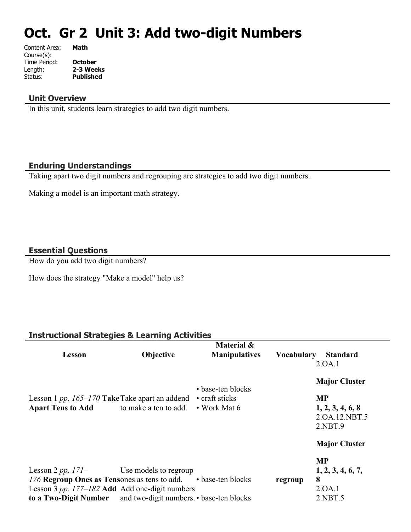# **Oct. Gr 2 Unit 3: Add two-digit Numbers**

| Content Area: | Math             |
|---------------|------------------|
| Course(s):    |                  |
| Time Period:  | <b>October</b>   |
| Length:       | 2-3 Weeks        |
| Status:       | <b>Published</b> |
|               |                  |

#### **Unit Overview**

In this unit, students learn strategies to add two digit numbers.

#### **Enduring Understandings**

Taking apart two digit numbers and regrouping are strategies to add two digit numbers.

Making a model is an important math strategy.

# **Essential Questions**

How do you add two digit numbers?

How does the strategy "Make a model" help us?

# **Instructional Strategies & Learning Activities**

|                                                                       |                       | Material &           |                   |                           |
|-----------------------------------------------------------------------|-----------------------|----------------------|-------------------|---------------------------|
| Lesson                                                                | <b>Objective</b>      | <b>Manipulatives</b> | <b>Vocabulary</b> | <b>Standard</b><br>2.0A.1 |
|                                                                       |                       | • base-ten blocks    |                   | <b>Major Cluster</b>      |
| Lesson 1 pp. $165-170$ Take Take apart an addend                      |                       | • craft sticks       |                   | <b>MP</b>                 |
| <b>Apart Tens to Add</b>                                              | to make a ten to add. | • Work Mat 6         |                   | 1, 2, 3, 4, 6, 8          |
|                                                                       |                       |                      |                   | 2.0A.12.NBT.5             |
|                                                                       |                       |                      |                   | 2.NBT.9                   |
|                                                                       |                       |                      |                   | <b>Major Cluster</b>      |
|                                                                       |                       |                      |                   | <b>MP</b>                 |
| Lesson 2 pp. $171-$                                                   | Use models to regroup |                      |                   | 1, 2, 3, 4, 6, 7,         |
| 176 Regroup Ones as Tensones as tens to add. • base-ten blocks        |                       |                      | regroup           | 8                         |
| Lesson 3 pp. $177-182$ Add Add one-digit numbers                      |                       |                      |                   | 2.0A.1                    |
| <b>to a Two-Digit Number</b> and two-digit numbers. • base-ten blocks |                       |                      |                   | 2.NBT.5                   |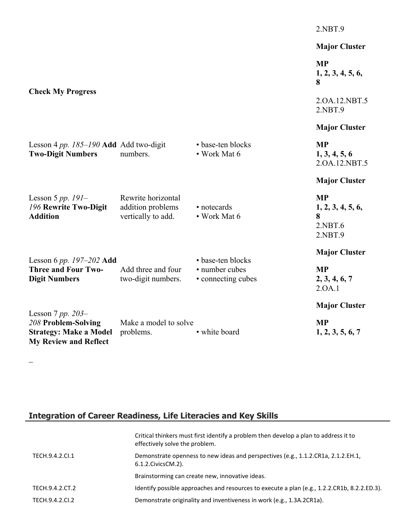|                                                                                                             |                                                               |                                      | 2.NBT.9                                                   |
|-------------------------------------------------------------------------------------------------------------|---------------------------------------------------------------|--------------------------------------|-----------------------------------------------------------|
|                                                                                                             |                                                               |                                      | <b>Major Cluster</b>                                      |
|                                                                                                             |                                                               |                                      | <b>MP</b><br>1, 2, 3, 4, 5, 6,<br>8                       |
| <b>Check My Progress</b>                                                                                    |                                                               |                                      | 2.0A.12.NBT.5<br>2.NBT.9                                  |
|                                                                                                             |                                                               |                                      | <b>Major Cluster</b>                                      |
| Lesson 4 pp. $185-190$ Add Add two-digit<br><b>Two-Digit Numbers</b>                                        | numbers.                                                      | • base-ten blocks<br>• Work Mat 6    | <b>MP</b><br>1, 3, 4, 5, 6<br>2.0A.12.NBT.5               |
|                                                                                                             |                                                               |                                      | <b>Major Cluster</b>                                      |
| Lesson 5 pp. $191-$<br>196 Rewrite Two-Digit<br><b>Addition</b>                                             | Rewrite horizontal<br>addition problems<br>vertically to add. | • notecards<br>• Work Mat 6          | <b>MP</b><br>1, 2, 3, 4, 5, 6,<br>8<br>2.NBT.6<br>2.NBT.9 |
| Lesson 6 pp. $197-202$ Add                                                                                  |                                                               | • base-ten blocks                    | <b>Major Cluster</b>                                      |
| <b>Three and Four Two-</b><br><b>Digit Numbers</b>                                                          | Add three and four<br>two-digit numbers.                      | • number cubes<br>• connecting cubes | <b>MP</b><br>2, 3, 4, 6, 7<br>2.0A.1                      |
|                                                                                                             |                                                               |                                      | <b>Major Cluster</b>                                      |
| Lesson 7 pp. $203-$<br>208 Problem-Solving<br><b>Strategy: Make a Model</b><br><b>My Review and Reflect</b> | Make a model to solve<br>problems.                            | • white board                        | <b>MP</b><br>1, 2, 3, 5, 6, 7                             |

# **Integration of Career Readiness, Life Literacies and Key Skills**

 $\frac{1}{2}$ 

|                 | Critical thinkers must first identify a problem then develop a plan to address it to<br>effectively solve the problem. |
|-----------------|------------------------------------------------------------------------------------------------------------------------|
| TECH.9.4.2.CI.1 | Demonstrate openness to new ideas and perspectives (e.g., 1.1.2.CR1a, 2.1.2.EH.1,<br>6.1.2. Civics CM. 2).             |
|                 | Brainstorming can create new, innovative ideas.                                                                        |
| TECH.9.4.2.CT.2 | Identify possible approaches and resources to execute a plan (e.g., 1.2.2.CR1b, 8.2.2.ED.3).                           |
| TECH.9.4.2.CI.2 | Demonstrate originality and inventiveness in work (e.g., 1.3A.2CR1a).                                                  |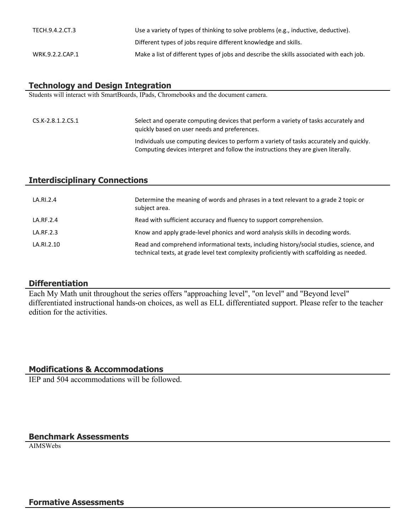| TECH.9.4.2.CT.3 | Use a variety of types of thinking to solve problems (e.g., inductive, deductive).       |
|-----------------|------------------------------------------------------------------------------------------|
|                 | Different types of jobs require different knowledge and skills.                          |
| WRK.9.2.2.CAP.1 | Make a list of different types of jobs and describe the skills associated with each job. |

## **Technology and Design Integration**

Students will interact with SmartBoards, IPads, Chromebooks and the document camera.

| CS.K-2.8.1.2.CS.1 | Select and operate computing devices that perform a variety of tasks accurately and<br>quickly based on user needs and preferences.                                          |
|-------------------|------------------------------------------------------------------------------------------------------------------------------------------------------------------------------|
|                   | Individuals use computing devices to perform a variety of tasks accurately and quickly.<br>Computing devices interpret and follow the instructions they are given literally. |

#### **Interdisciplinary Connections**

| LA.RI.2.4  | Determine the meaning of words and phrases in a text relevant to a grade 2 topic or<br>subject area.                                                                                |
|------------|-------------------------------------------------------------------------------------------------------------------------------------------------------------------------------------|
| LA.RF.2.4  | Read with sufficient accuracy and fluency to support comprehension.                                                                                                                 |
| LA.RF.2.3  | Know and apply grade-level phonics and word analysis skills in decoding words.                                                                                                      |
| LA.RI.2.10 | Read and comprehend informational texts, including history/social studies, science, and<br>technical texts, at grade level text complexity proficiently with scaffolding as needed. |

#### **Differentiation**

Each My Math unit throughout the series offers "approaching level", "on level" and "Beyond level" differentiated instructional hands-on choices, as well as ELL differentiated support. Please refer to the teacher edition for the activities.

# **Modifications & Accommodations**

IEP and 504 accommodations will be followed.

#### **Benchmark Assessments**

AIMSWebs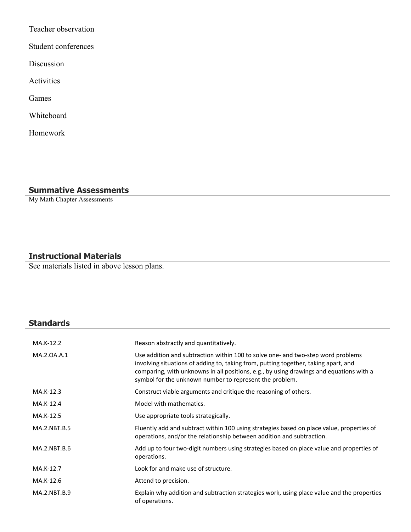Teacher observation

Student conferences

Discussion

Activities

Games

Whiteboard

Homework

# **Summative Assessments**

My Math Chapter Assessments

# **Instructional Materials**

See materials listed in above lesson plans.

# **Standards**

| MA.K-12.2           | Reason abstractly and quantitatively.                                                                                                                                                                                                                                                                                         |
|---------------------|-------------------------------------------------------------------------------------------------------------------------------------------------------------------------------------------------------------------------------------------------------------------------------------------------------------------------------|
| MA.2.0A.A.1         | Use addition and subtraction within 100 to solve one- and two-step word problems<br>involving situations of adding to, taking from, putting together, taking apart, and<br>comparing, with unknowns in all positions, e.g., by using drawings and equations with a<br>symbol for the unknown number to represent the problem. |
| MA.K-12.3           | Construct viable arguments and critique the reasoning of others.                                                                                                                                                                                                                                                              |
| MA.K-12.4           | Model with mathematics.                                                                                                                                                                                                                                                                                                       |
| MA.K-12.5           | Use appropriate tools strategically.                                                                                                                                                                                                                                                                                          |
| <b>MA.2.NBT.B.5</b> | Fluently add and subtract within 100 using strategies based on place value, properties of<br>operations, and/or the relationship between addition and subtraction.                                                                                                                                                            |
| MA.2.NBT.B.6        | Add up to four two-digit numbers using strategies based on place value and properties of<br>operations.                                                                                                                                                                                                                       |
| MA.K-12.7           | Look for and make use of structure.                                                                                                                                                                                                                                                                                           |
| MA.K-12.6           | Attend to precision.                                                                                                                                                                                                                                                                                                          |
| MA.2.NBT.B.9        | Explain why addition and subtraction strategies work, using place value and the properties<br>of operations.                                                                                                                                                                                                                  |